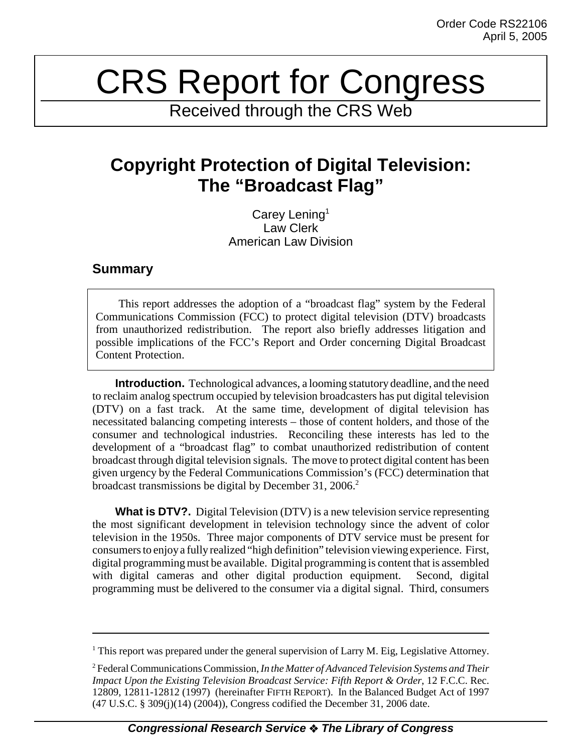## CRS Report for Congress

Received through the CRS Web

## **Copyright Protection of Digital Television: The "Broadcast Flag"**

Carey Lening<sup>1</sup> Law Clerk American Law Division

## **Summary**

This report addresses the adoption of a "broadcast flag" system by the Federal Communications Commission (FCC) to protect digital television (DTV) broadcasts from unauthorized redistribution. The report also briefly addresses litigation and possible implications of the FCC's Report and Order concerning Digital Broadcast Content Protection.

**Introduction.** Technological advances, a looming statutory deadline, and the need to reclaim analog spectrum occupied by television broadcasters has put digital television (DTV) on a fast track. At the same time, development of digital television has necessitated balancing competing interests – those of content holders, and those of the consumer and technological industries. Reconciling these interests has led to the development of a "broadcast flag" to combat unauthorized redistribution of content broadcast through digital television signals. The move to protect digital content has been given urgency by the Federal Communications Commission's (FCC) determination that broadcast transmissions be digital by December 31, 2006.<sup>2</sup>

**What is DTV?.** Digital Television (DTV) is a new television service representing the most significant development in television technology since the advent of color television in the 1950s. Three major components of DTV service must be present for consumers to enjoy a fully realized "high definition" television viewing experience. First, digital programming must be available. Digital programming is content that is assembled with digital cameras and other digital production equipment. Second, digital programming must be delivered to the consumer via a digital signal. Third, consumers

<sup>&</sup>lt;sup>1</sup> This report was prepared under the general supervision of Larry M. Eig, Legislative Attorney.

<sup>2</sup> Federal Communications Commission, *In the Matter of Advanced Television Systems and Their Impact Upon the Existing Television Broadcast Service: Fifth Report & Order*, 12 F.C.C. Rec. 12809, 12811-12812 (1997) (hereinafter FIFTH REPORT). In the Balanced Budget Act of 1997 (47 U.S.C. § 309(j)(14) (2004)), Congress codified the December 31, 2006 date.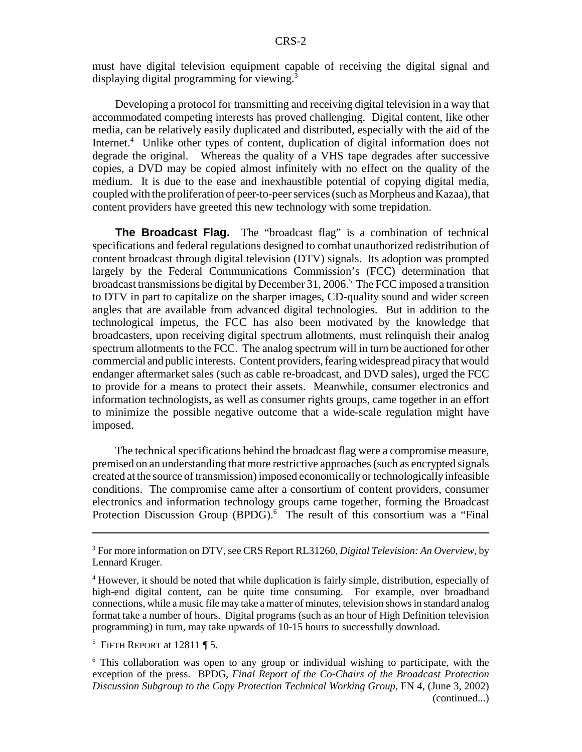must have digital television equipment capable of receiving the digital signal and displaying digital programming for viewing.<sup>3</sup>

Developing a protocol for transmitting and receiving digital television in a way that accommodated competing interests has proved challenging. Digital content, like other media, can be relatively easily duplicated and distributed, especially with the aid of the Internet.<sup>4</sup> Unlike other types of content, duplication of digital information does not degrade the original. Whereas the quality of a VHS tape degrades after successive copies, a DVD may be copied almost infinitely with no effect on the quality of the medium. It is due to the ease and inexhaustible potential of copying digital media, coupled with the proliferation of peer-to-peer services (such as Morpheus and Kazaa), that content providers have greeted this new technology with some trepidation.

**The Broadcast Flag.** The "broadcast flag" is a combination of technical specifications and federal regulations designed to combat unauthorized redistribution of content broadcast through digital television (DTV) signals. Its adoption was prompted largely by the Federal Communications Commission's (FCC) determination that broadcast transmissions be digital by December 31, 2006.<sup>5</sup> The FCC imposed a transition to DTV in part to capitalize on the sharper images, CD-quality sound and wider screen angles that are available from advanced digital technologies. But in addition to the technological impetus, the FCC has also been motivated by the knowledge that broadcasters, upon receiving digital spectrum allotments, must relinquish their analog spectrum allotments to the FCC. The analog spectrum will in turn be auctioned for other commercial and public interests. Content providers, fearing widespread piracy that would endanger aftermarket sales (such as cable re-broadcast, and DVD sales), urged the FCC to provide for a means to protect their assets. Meanwhile, consumer electronics and information technologists, as well as consumer rights groups, came together in an effort to minimize the possible negative outcome that a wide-scale regulation might have imposed.

The technical specifications behind the broadcast flag were a compromise measure, premised on an understanding that more restrictive approaches (such as encrypted signals created at the source of transmission) imposed economically or technologically infeasible conditions. The compromise came after a consortium of content providers, consumer electronics and information technology groups came together, forming the Broadcast Protection Discussion Group (BPDG).<sup>6</sup> The result of this consortium was a "Final

<sup>3</sup> For more information on DTV, see CRS Report RL31260, *Digital Television: An Overview*, by Lennard Kruger.

<sup>&</sup>lt;sup>4</sup> However, it should be noted that while duplication is fairly simple, distribution, especially of high-end digital content, can be quite time consuming. For example, over broadband connections, while a music file may take a matter of minutes, television shows in standard analog format take a number of hours. Digital programs (such as an hour of High Definition television programming) in turn, may take upwards of 10-15 hours to successfully download.

<sup>&</sup>lt;sup>5</sup> FIFTH REPORT at  $12811 \text{ }\P 5$ .

<sup>&</sup>lt;sup>6</sup> This collaboration was open to any group or individual wishing to participate, with the exception of the press. BPDG, *Final Report of the Co-Chairs of the Broadcast Protection Discussion Subgroup to the Copy Protection Technical Working Group*, FN 4, (June 3, 2002) (continued...)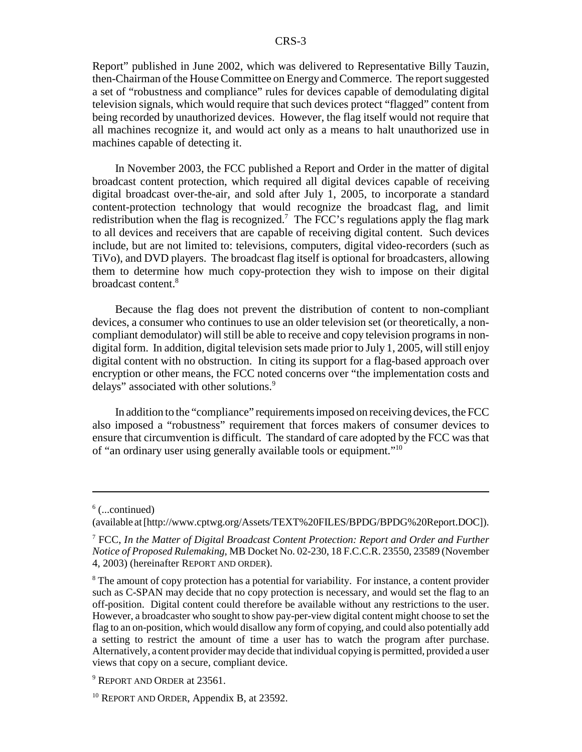Report" published in June 2002, which was delivered to Representative Billy Tauzin, then-Chairman of the House Committee on Energy and Commerce. The report suggested a set of "robustness and compliance" rules for devices capable of demodulating digital television signals, which would require that such devices protect "flagged" content from being recorded by unauthorized devices. However, the flag itself would not require that all machines recognize it, and would act only as a means to halt unauthorized use in machines capable of detecting it.

In November 2003, the FCC published a Report and Order in the matter of digital broadcast content protection, which required all digital devices capable of receiving digital broadcast over-the-air, and sold after July 1, 2005, to incorporate a standard content-protection technology that would recognize the broadcast flag, and limit redistribution when the flag is recognized.<sup>7</sup> The FCC's regulations apply the flag mark to all devices and receivers that are capable of receiving digital content. Such devices include, but are not limited to: televisions, computers, digital video-recorders (such as TiVo), and DVD players. The broadcast flag itself is optional for broadcasters, allowing them to determine how much copy-protection they wish to impose on their digital broadcast content.8

Because the flag does not prevent the distribution of content to non-compliant devices, a consumer who continues to use an older television set (or theoretically, a noncompliant demodulator) will still be able to receive and copy television programs in nondigital form. In addition, digital television sets made prior to July 1, 2005, will still enjoy digital content with no obstruction. In citing its support for a flag-based approach over encryption or other means, the FCC noted concerns over "the implementation costs and delays" associated with other solutions.<sup>9</sup>

In addition to the "compliance" requirements imposed on receiving devices, the FCC also imposed a "robustness" requirement that forces makers of consumer devices to ensure that circumvention is difficult. The standard of care adopted by the FCC was that of "an ordinary user using generally available tools or equipment."10

 $6$  (...continued)

<sup>(</sup>available at [http://www.cptwg.org/Assets/TEXT%20FILES/BPDG/BPDG%20Report.DOC]).

<sup>7</sup> FCC, *In the Matter of Digital Broadcast Content Protection: Report and Order and Further Notice of Proposed Rulemaking*, MB Docket No. 02-230, 18 F.C.C.R. 23550, 23589 (November 4, 2003) (hereinafter REPORT AND ORDER).

<sup>&</sup>lt;sup>8</sup> The amount of copy protection has a potential for variability. For instance, a content provider such as C-SPAN may decide that no copy protection is necessary, and would set the flag to an off-position. Digital content could therefore be available without any restrictions to the user. However, a broadcaster who sought to show pay-per-view digital content might choose to set the flag to an on-position, which would disallow any form of copying, and could also potentially add a setting to restrict the amount of time a user has to watch the program after purchase. Alternatively, a content provider may decide that individual copying is permitted, provided a user views that copy on a secure, compliant device.

<sup>&</sup>lt;sup>9</sup> REPORT AND ORDER at 23561.

 $10$  REPORT AND ORDER, Appendix B, at 23592.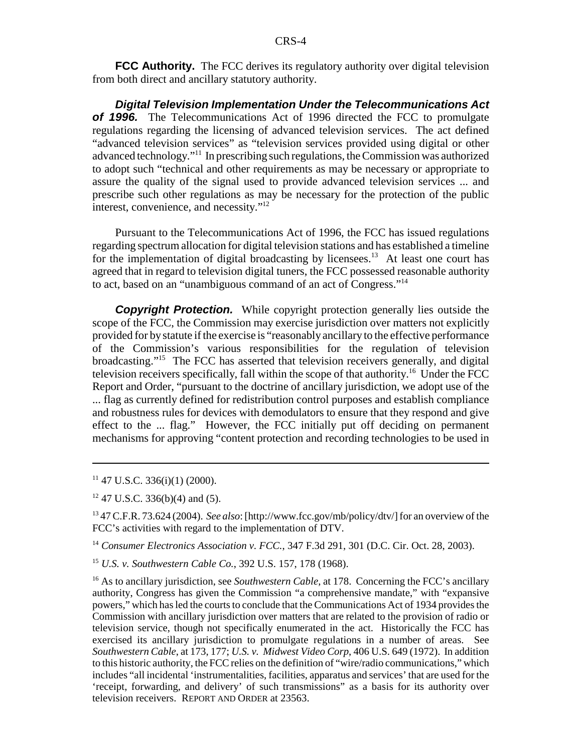**FCC Authority.** The FCC derives its regulatory authority over digital television from both direct and ancillary statutory authority.

*Digital Television Implementation Under the Telecommunications Act of 1996.* The Telecommunications Act of 1996 directed the FCC to promulgate regulations regarding the licensing of advanced television services. The act defined "advanced television services" as "television services provided using digital or other advanced technology."11 In prescribing such regulations, the Commission was authorized to adopt such "technical and other requirements as may be necessary or appropriate to assure the quality of the signal used to provide advanced television services ... and prescribe such other regulations as may be necessary for the protection of the public interest, convenience, and necessity."12

Pursuant to the Telecommunications Act of 1996, the FCC has issued regulations regarding spectrum allocation for digital television stations and has established a timeline for the implementation of digital broadcasting by licensees.<sup>13</sup> At least one court has agreed that in regard to television digital tuners, the FCC possessed reasonable authority to act, based on an "unambiguous command of an act of Congress."14

**Copyright Protection.** While copyright protection generally lies outside the scope of the FCC, the Commission may exercise jurisdiction over matters not explicitly provided for by statute if the exercise is "reasonably ancillary to the effective performance of the Commission's various responsibilities for the regulation of television broadcasting."15 The FCC has asserted that television receivers generally, and digital television receivers specifically, fall within the scope of that authority.<sup>16</sup> Under the FCC Report and Order, "pursuant to the doctrine of ancillary jurisdiction, we adopt use of the ... flag as currently defined for redistribution control purposes and establish compliance and robustness rules for devices with demodulators to ensure that they respond and give effect to the ... flag." However, the FCC initially put off deciding on permanent mechanisms for approving "content protection and recording technologies to be used in

 $11$  47 U.S.C. 336(i)(1) (2000).

12 47 U.S.C. 336(b)(4) and (5).

13 47 C.F.R. 73.624 (2004). *See also*: [http://www.fcc.gov/mb/policy/dtv/] for an overview of the FCC's activities with regard to the implementation of DTV.

<sup>14</sup> *Consumer Electronics Association v. FCC.*, 347 F.3d 291, 301 (D.C. Cir. Oct. 28, 2003).

<sup>15</sup> *U.S. v. Southwestern Cable Co.*, 392 U.S. 157, 178 (1968).

<sup>16</sup> As to ancillary jurisdiction, see *Southwestern Cable*, at 178. Concerning the FCC's ancillary authority, Congress has given the Commission "a comprehensive mandate," with "expansive powers," which has led the courts to conclude that the Communications Act of 1934 provides the Commission with ancillary jurisdiction over matters that are related to the provision of radio or television service, though not specifically enumerated in the act. Historically the FCC has exercised its ancillary jurisdiction to promulgate regulations in a number of areas. See *Southwestern Cable*, at 173, 177; *U.S. v. Midwest Video Corp*, 406 U.S. 649 (1972). In addition to this historic authority, the FCC relies on the definition of "wire/radio communications," which includes "all incidental 'instrumentalities, facilities, apparatus and services' that are used for the 'receipt, forwarding, and delivery' of such transmissions" as a basis for its authority over television receivers. REPORT AND ORDER at 23563.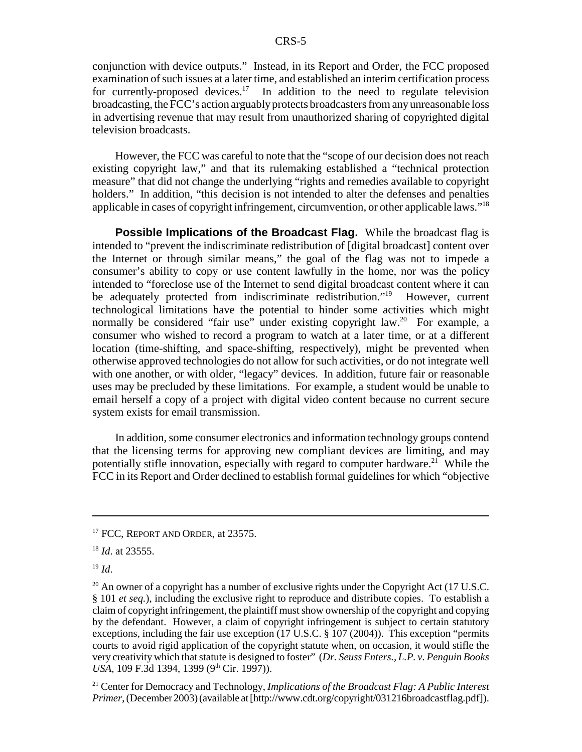conjunction with device outputs." Instead, in its Report and Order, the FCC proposed examination of such issues at a later time, and established an interim certification process for currently-proposed devices.<sup>17</sup> In addition to the need to regulate television broadcasting, the FCC's action arguably protects broadcasters from any unreasonable loss in advertising revenue that may result from unauthorized sharing of copyrighted digital television broadcasts.

However, the FCC was careful to note that the "scope of our decision does not reach existing copyright law," and that its rulemaking established a "technical protection measure" that did not change the underlying "rights and remedies available to copyright holders." In addition, "this decision is not intended to alter the defenses and penalties applicable in cases of copyright infringement, circumvention, or other applicable laws."18

**Possible Implications of the Broadcast Flag.** While the broadcast flag is intended to "prevent the indiscriminate redistribution of [digital broadcast] content over the Internet or through similar means," the goal of the flag was not to impede a consumer's ability to copy or use content lawfully in the home, nor was the policy intended to "foreclose use of the Internet to send digital broadcast content where it can be adequately protected from indiscriminate redistribution."<sup>19</sup> However, current technological limitations have the potential to hinder some activities which might normally be considered "fair use" under existing copyright law.<sup>20</sup> For example, a consumer who wished to record a program to watch at a later time, or at a different location (time-shifting, and space-shifting, respectively), might be prevented when otherwise approved technologies do not allow for such activities, or do not integrate well with one another, or with older, "legacy" devices. In addition, future fair or reasonable uses may be precluded by these limitations. For example, a student would be unable to email herself a copy of a project with digital video content because no current secure system exists for email transmission.

In addition, some consumer electronics and information technology groups contend that the licensing terms for approving new compliant devices are limiting, and may potentially stifle innovation, especially with regard to computer hardware.<sup>21</sup> While the FCC in its Report and Order declined to establish formal guidelines for which "objective

21 Center for Democracy and Technology, *Implications of the Broadcast Flag: A Public Interest Primer*, (December 2003) (available at [http://www.cdt.org/copyright/031216broadcastflag.pdf]).

<sup>&</sup>lt;sup>17</sup> FCC, REPORT AND ORDER, at 23575.

<sup>18</sup> *Id*. at 23555.

<sup>19</sup> *Id*.

<sup>&</sup>lt;sup>20</sup> An owner of a copyright has a number of exclusive rights under the Copyright Act (17 U.S.C. § 101 *et seq.*), including the exclusive right to reproduce and distribute copies. To establish a claim of copyright infringement, the plaintiff must show ownership of the copyright and copying by the defendant. However, a claim of copyright infringement is subject to certain statutory exceptions, including the fair use exception (17 U.S.C. § 107 (2004)). This exception "permits courts to avoid rigid application of the copyright statute when, on occasion, it would stifle the very creativity which that statute is designed to foster" (*Dr. Seuss Enters., L.P. v. Penguin Books USA*, 109 F.3d 1394, 1399 (9<sup>th</sup> Cir. 1997)).